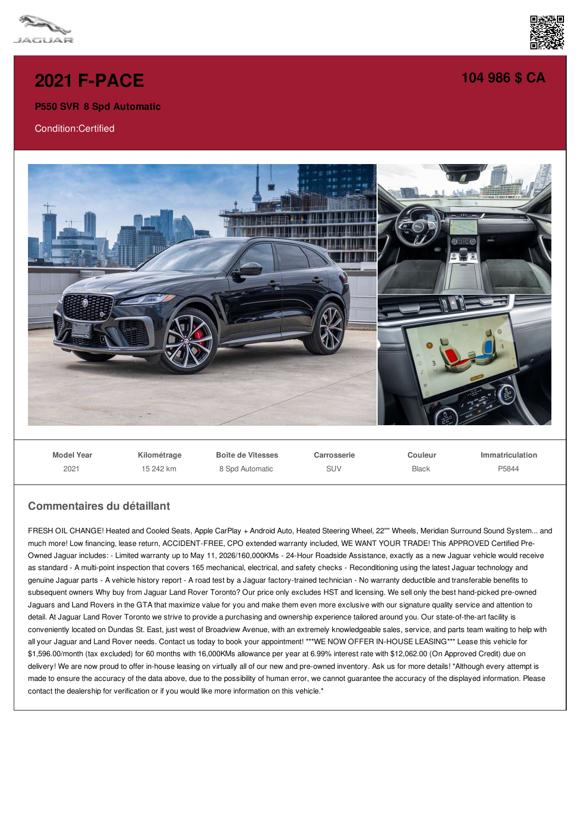



## **2021 [F-PACE](/fr/used-certified/pdf/)**

**P550 SVR 8 Spd Automatic**

## Condition:Certified



**Model Year** 2021 **Kilométrage** 15 242 km **Boîte de Vitesses** 8 Spd Automatic **Carrosserie** SUV **Couleur** Black **Immatriculation** P5844

## **Commentaires du détaillant**

FRESH OIL CHANGE! Heated and Cooled Seats, Apple CarPlay + Android Auto, Heated Steering Wheel, 22"" Wheels, Meridian Surround Sound System... and much more! Low financing, lease return, ACCIDENT-FREE, CPO extended warranty included, WE WANT YOUR TRADE! This APPROVED Certified Pre-Owned Jaguar includes: - Limited warranty up to May 11, 2026/160,000KMs - 24-Hour Roadside Assistance, exactly as a new Jaguar vehicle would receive as standard - A multi-point inspection that covers 165 mechanical, electrical, and safety checks - Reconditioning using the latest Jaguar technology and genuine Jaguar parts - A vehicle history report - A road test by a Jaguar factory-trained technician - No warranty deductible and transferable benefits to subsequent owners Why buy from Jaguar Land Rover Toronto? Our price only excludes HST and licensing. We sell only the best hand-picked pre-owned Jaguars and Land Rovers in the GTA that maximize value for you and make them even more exclusive with our signature quality service and attention to detail. At Jaguar Land Rover Toronto we strive to provide a purchasing and ownership experience tailored around you. Our state-of-the-art facility is conveniently located on Dundas St. East, just west of Broadview Avenue, with an extremely knowledgeable sales, service, and parts team waiting to help with all your Jaguar and Land Rover needs. Contact us today to book your appointment! \*\*\*WE NOW OFFER IN-HOUSE LEASING\*\*\* Lease this vehicle for \$1,596.00/month (tax excluded) for 60 months with 16,000KMs allowance per year at 6.99% interest rate with \$12,062.00 (On Approved Credit) due on delivery! We are now proud to offer in-house leasing on virtually all of our new and pre-owned inventory. Ask us for more details! \*Although every attempt is made to ensure the accuracy of the data above, due to the possibility of human error, we cannot guarantee the accuracy of the displayed information. Please contact the dealership for verification or if you would like more information on this vehicle.<sup>\*</sup>

## **104 [986](/fr/used-certified/pdf/) \$ CA**